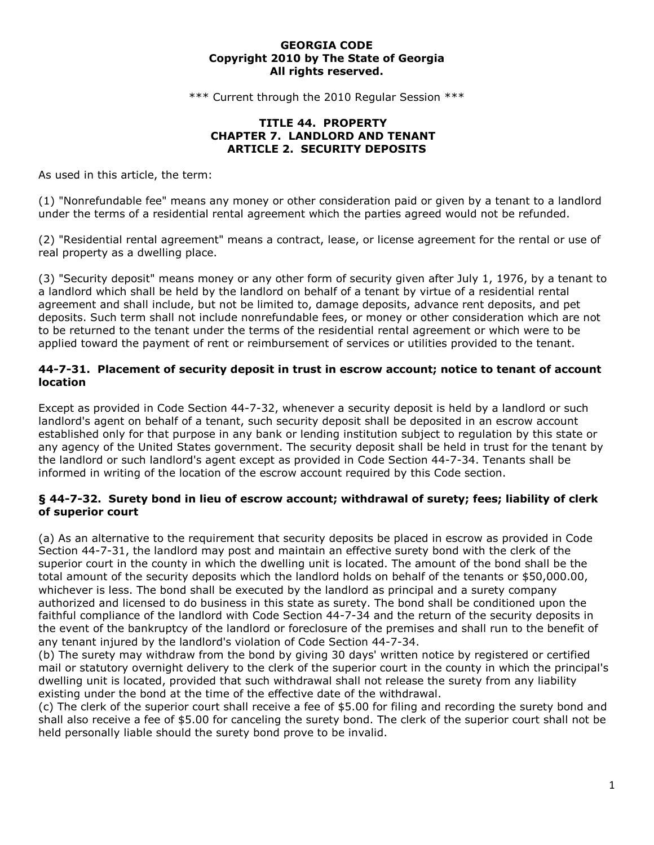#### **GEORGIA CODE Copyright 2010 by The State of Georgia All rights reserved.**

\*\*\* Current through the 2010 Regular Session \*\*\*

#### **TITLE 44. PROPERTY CHAPTER 7. LANDLORD AND TENANT ARTICLE 2. SECURITY DEPOSITS**

As used in this article, the term:

(1) "Nonrefundable fee" means any money or other consideration paid or given by a tenant to a landlord under the terms of a residential rental agreement which the parties agreed would not be refunded.

(2) "Residential rental agreement" means a contract, lease, or license agreement for the rental or use of real property as a dwelling place.

(3) "Security deposit" means money or any other form of security given after July 1, 1976, by a tenant to a landlord which shall be held by the landlord on behalf of a tenant by virtue of a residential rental agreement and shall include, but not be limited to, damage deposits, advance rent deposits, and pet deposits. Such term shall not include nonrefundable fees, or money or other consideration which are not to be returned to the tenant under the terms of the residential rental agreement or which were to be applied toward the payment of rent or reimbursement of services or utilities provided to the tenant.

## **44-7-31. Placement of security deposit in trust in escrow account; notice to tenant of account location**

Except as provided in Code Section 44-7-32, whenever a security deposit is held by a landlord or such landlord's agent on behalf of a tenant, such security deposit shall be deposited in an escrow account established only for that purpose in any bank or lending institution subject to regulation by this state or any agency of the United States government. The security deposit shall be held in trust for the tenant by the landlord or such landlord's agent except as provided in Code Section 44-7-34. Tenants shall be informed in writing of the location of the escrow account required by this Code section.

## **§ 44-7-32. Surety bond in lieu of escrow account; withdrawal of surety; fees; liability of clerk of superior court**

(a) As an alternative to the requirement that security deposits be placed in escrow as provided in Code Section 44-7-31, the landlord may post and maintain an effective surety bond with the clerk of the superior court in the county in which the dwelling unit is located. The amount of the bond shall be the total amount of the security deposits which the landlord holds on behalf of the tenants or \$50,000.00, whichever is less. The bond shall be executed by the landlord as principal and a surety company authorized and licensed to do business in this state as surety. The bond shall be conditioned upon the faithful compliance of the landlord with Code Section 44-7-34 and the return of the security deposits in the event of the bankruptcy of the landlord or foreclosure of the premises and shall run to the benefit of any tenant injured by the landlord's violation of Code Section 44-7-34.

(b) The surety may withdraw from the bond by giving 30 days' written notice by registered or certified mail or statutory overnight delivery to the clerk of the superior court in the county in which the principal's dwelling unit is located, provided that such withdrawal shall not release the surety from any liability existing under the bond at the time of the effective date of the withdrawal.

(c) The clerk of the superior court shall receive a fee of \$5.00 for filing and recording the surety bond and shall also receive a fee of \$5.00 for canceling the surety bond. The clerk of the superior court shall not be held personally liable should the surety bond prove to be invalid.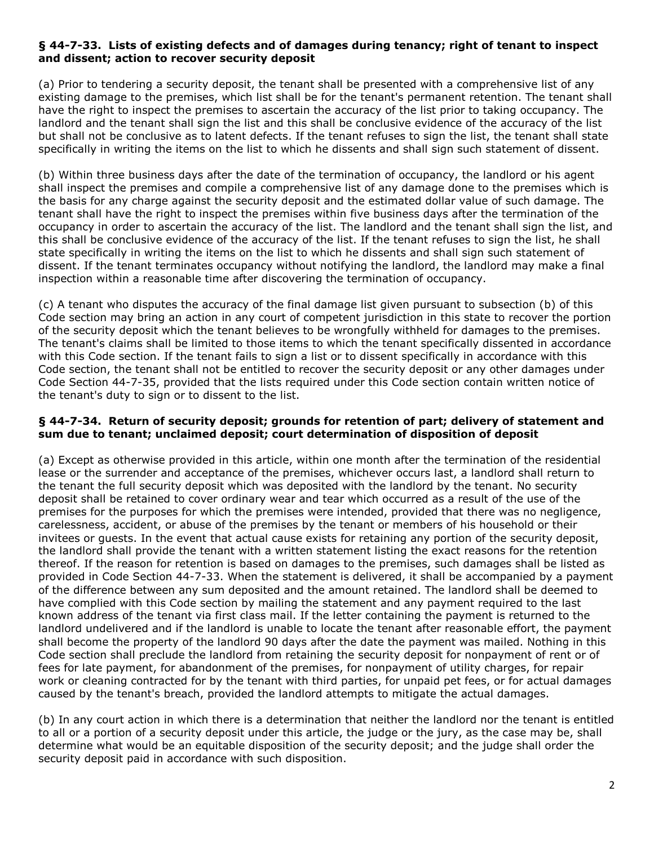## **§ 44-7-33. Lists of existing defects and of damages during tenancy; right of tenant to inspect and dissent; action to recover security deposit**

(a) Prior to tendering a security deposit, the tenant shall be presented with a comprehensive list of any existing damage to the premises, which list shall be for the tenant's permanent retention. The tenant shall have the right to inspect the premises to ascertain the accuracy of the list prior to taking occupancy. The landlord and the tenant shall sign the list and this shall be conclusive evidence of the accuracy of the list but shall not be conclusive as to latent defects. If the tenant refuses to sign the list, the tenant shall state specifically in writing the items on the list to which he dissents and shall sign such statement of dissent.

(b) Within three business days after the date of the termination of occupancy, the landlord or his agent shall inspect the premises and compile a comprehensive list of any damage done to the premises which is the basis for any charge against the security deposit and the estimated dollar value of such damage. The tenant shall have the right to inspect the premises within five business days after the termination of the occupancy in order to ascertain the accuracy of the list. The landlord and the tenant shall sign the list, and this shall be conclusive evidence of the accuracy of the list. If the tenant refuses to sign the list, he shall state specifically in writing the items on the list to which he dissents and shall sign such statement of dissent. If the tenant terminates occupancy without notifying the landlord, the landlord may make a final inspection within a reasonable time after discovering the termination of occupancy.

(c) A tenant who disputes the accuracy of the final damage list given pursuant to subsection (b) of this Code section may bring an action in any court of competent jurisdiction in this state to recover the portion of the security deposit which the tenant believes to be wrongfully withheld for damages to the premises. The tenant's claims shall be limited to those items to which the tenant specifically dissented in accordance with this Code section. If the tenant fails to sign a list or to dissent specifically in accordance with this Code section, the tenant shall not be entitled to recover the security deposit or any other damages under Code Section 44-7-35, provided that the lists required under this Code section contain written notice of the tenant's duty to sign or to dissent to the list.

## **§ 44-7-34. Return of security deposit; grounds for retention of part; delivery of statement and sum due to tenant; unclaimed deposit; court determination of disposition of deposit**

(a) Except as otherwise provided in this article, within one month after the termination of the residential lease or the surrender and acceptance of the premises, whichever occurs last, a landlord shall return to the tenant the full security deposit which was deposited with the landlord by the tenant. No security deposit shall be retained to cover ordinary wear and tear which occurred as a result of the use of the premises for the purposes for which the premises were intended, provided that there was no negligence, carelessness, accident, or abuse of the premises by the tenant or members of his household or their invitees or guests. In the event that actual cause exists for retaining any portion of the security deposit, the landlord shall provide the tenant with a written statement listing the exact reasons for the retention thereof. If the reason for retention is based on damages to the premises, such damages shall be listed as provided in Code Section 44-7-33. When the statement is delivered, it shall be accompanied by a payment of the difference between any sum deposited and the amount retained. The landlord shall be deemed to have complied with this Code section by mailing the statement and any payment required to the last known address of the tenant via first class mail. If the letter containing the payment is returned to the landlord undelivered and if the landlord is unable to locate the tenant after reasonable effort, the payment shall become the property of the landlord 90 days after the date the payment was mailed. Nothing in this Code section shall preclude the landlord from retaining the security deposit for nonpayment of rent or of fees for late payment, for abandonment of the premises, for nonpayment of utility charges, for repair work or cleaning contracted for by the tenant with third parties, for unpaid pet fees, or for actual damages caused by the tenant's breach, provided the landlord attempts to mitigate the actual damages.

(b) In any court action in which there is a determination that neither the landlord nor the tenant is entitled to all or a portion of a security deposit under this article, the judge or the jury, as the case may be, shall determine what would be an equitable disposition of the security deposit; and the judge shall order the security deposit paid in accordance with such disposition.